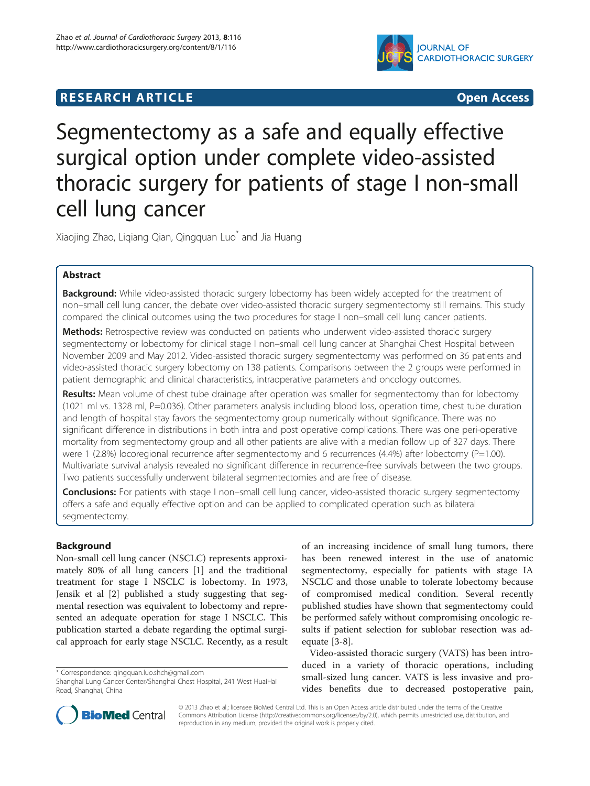# **RESEARCH ARTICLE CONSUMING A RESEARCH ARTICLE**



# Segmentectomy as a safe and equally effective surgical option under complete video-assisted thoracic surgery for patients of stage I non-small cell lung cancer

Xiaojing Zhao, Ligiang Qian, Qingquan Luo<sup>\*</sup> and Jia Huang

# Abstract

**Background:** While video-assisted thoracic surgery lobectomy has been widely accepted for the treatment of non–small cell lung cancer, the debate over video-assisted thoracic surgery segmentectomy still remains. This study compared the clinical outcomes using the two procedures for stage I non–small cell lung cancer patients.

Methods: Retrospective review was conducted on patients who underwent video-assisted thoracic surgery segmentectomy or lobectomy for clinical stage I non–small cell lung cancer at Shanghai Chest Hospital between November 2009 and May 2012. Video-assisted thoracic surgery segmentectomy was performed on 36 patients and video-assisted thoracic surgery lobectomy on 138 patients. Comparisons between the 2 groups were performed in patient demographic and clinical characteristics, intraoperative parameters and oncology outcomes.

Results: Mean volume of chest tube drainage after operation was smaller for segmentectomy than for lobectomy (1021 ml vs. 1328 ml, P=0.036). Other parameters analysis including blood loss, operation time, chest tube duration and length of hospital stay favors the segmentectomy group numerically without significance. There was no significant difference in distributions in both intra and post operative complications. There was one peri-operative mortality from segmentectomy group and all other patients are alive with a median follow up of 327 days. There were 1 (2.8%) locoregional recurrence after segmentectomy and 6 recurrences (4.4%) after lobectomy (P=1.00). Multivariate survival analysis revealed no significant difference in recurrence-free survivals between the two groups. Two patients successfully underwent bilateral segmentectomies and are free of disease.

**Conclusions:** For patients with stage I non–small cell lung cancer, video-assisted thoracic surgery segmentectomy offers a safe and equally effective option and can be applied to complicated operation such as bilateral segmentectomy.

# Background

Non-small cell lung cancer (NSCLC) represents approximately 80% of all lung cancers [\[1\]](#page-8-0) and the traditional treatment for stage I NSCLC is lobectomy. In 1973, Jensik et al [[2\]](#page-8-0) published a study suggesting that segmental resection was equivalent to lobectomy and represented an adequate operation for stage I NSCLC. This publication started a debate regarding the optimal surgical approach for early stage NSCLC. Recently, as a result

\* Correspondence: [qingquan.luo.shch@gmail.com](mailto:qingquan.luo.shch@gmail.com)

of an increasing incidence of small lung tumors, there has been renewed interest in the use of anatomic segmentectomy, especially for patients with stage IA NSCLC and those unable to tolerate lobectomy because of compromised medical condition. Several recently published studies have shown that segmentectomy could be performed safely without compromising oncologic results if patient selection for sublobar resection was adequate [[3-8](#page-8-0)].

Video-assisted thoracic surgery (VATS) has been introduced in a variety of thoracic operations, including small-sized lung cancer. VATS is less invasive and provides benefits due to decreased postoperative pain,



© 2013 Zhao et al.; licensee BioMed Central Ltd. This is an Open Access article distributed under the terms of the Creative Commons Attribution License [\(http://creativecommons.org/licenses/by/2.0\)](http://creativecommons.org/licenses/by/2.0), which permits unrestricted use, distribution, and reproduction in any medium, provided the original work is properly cited.

Shanghai Lung Cancer Center/Shanghai Chest Hospital, 241 West HuaiHai Road, Shanghai, China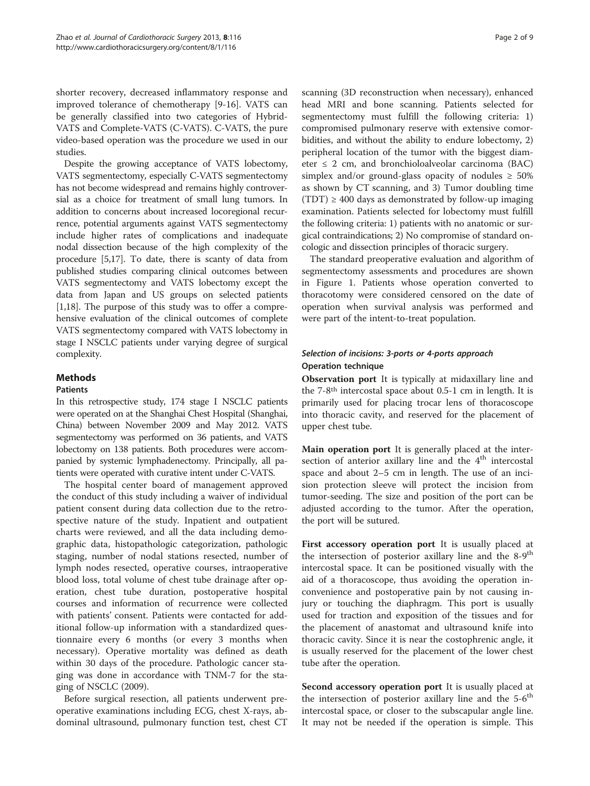shorter recovery, decreased inflammatory response and improved tolerance of chemotherapy [[9-16](#page-8-0)]. VATS can be generally classified into two categories of Hybrid-VATS and Complete-VATS (C-VATS). C-VATS, the pure video-based operation was the procedure we used in our studies.

Despite the growing acceptance of VATS lobectomy, VATS segmentectomy, especially C-VATS segmentectomy has not become widespread and remains highly controversial as a choice for treatment of small lung tumors. In addition to concerns about increased locoregional recurrence, potential arguments against VATS segmentectomy include higher rates of complications and inadequate nodal dissection because of the high complexity of the procedure [\[5,17](#page-8-0)]. To date, there is scanty of data from published studies comparing clinical outcomes between VATS segmentectomy and VATS lobectomy except the data from Japan and US groups on selected patients  $[1,18]$  $[1,18]$  $[1,18]$ . The purpose of this study was to offer a comprehensive evaluation of the clinical outcomes of complete VATS segmentectomy compared with VATS lobectomy in stage I NSCLC patients under varying degree of surgical complexity.

# Methods

### Patients

In this retrospective study, 174 stage I NSCLC patients were operated on at the Shanghai Chest Hospital (Shanghai, China) between November 2009 and May 2012. VATS segmentectomy was performed on 36 patients, and VATS lobectomy on 138 patients. Both procedures were accompanied by systemic lymphadenectomy. Principally, all patients were operated with curative intent under C-VATS.

The hospital center board of management approved the conduct of this study including a waiver of individual patient consent during data collection due to the retrospective nature of the study. Inpatient and outpatient charts were reviewed, and all the data including demographic data, histopathologic categorization, pathologic staging, number of nodal stations resected, number of lymph nodes resected, operative courses, intraoperative blood loss, total volume of chest tube drainage after operation, chest tube duration, postoperative hospital courses and information of recurrence were collected with patients' consent. Patients were contacted for additional follow-up information with a standardized questionnaire every 6 months (or every 3 months when necessary). Operative mortality was defined as death within 30 days of the procedure. Pathologic cancer staging was done in accordance with TNM-7 for the staging of NSCLC (2009).

Before surgical resection, all patients underwent preoperative examinations including ECG, chest X-rays, abdominal ultrasound, pulmonary function test, chest CT

scanning (3D reconstruction when necessary), enhanced head MRI and bone scanning. Patients selected for segmentectomy must fulfill the following criteria: 1) compromised pulmonary reserve with extensive comorbidities, and without the ability to endure lobectomy, 2) peripheral location of the tumor with the biggest diameter  $\leq$  2 cm, and bronchioloalveolar carcinoma (BAC) simplex and/or ground-glass opacity of nodules  $\geq 50\%$ as shown by CT scanning, and 3) Tumor doubling time  $(TDT) \geq 400$  days as demonstrated by follow-up imaging examination. Patients selected for lobectomy must fulfill the following criteria: 1) patients with no anatomic or surgical contraindications; 2) No compromise of standard oncologic and dissection principles of thoracic surgery.

The standard preoperative evaluation and algorithm of segmentectomy assessments and procedures are shown in Figure [1.](#page-2-0) Patients whose operation converted to thoracotomy were considered censored on the date of operation when survival analysis was performed and were part of the intent-to-treat population.

# Operation technique Selection of incisions: 3-ports or 4-ports approach

Observation port It is typically at midaxillary line and the 7-8th intercostal space about 0.5-1 cm in length. It is primarily used for placing trocar lens of thoracoscope into thoracic cavity, and reserved for the placement of upper chest tube.

Main operation port It is generally placed at the intersection of anterior axillary line and the  $4<sup>th</sup>$  intercostal space and about 2–5 cm in length. The use of an incision protection sleeve will protect the incision from tumor-seeding. The size and position of the port can be adjusted according to the tumor. After the operation, the port will be sutured.

First accessory operation port It is usually placed at the intersection of posterior axillary line and the 8-9<sup>th</sup> intercostal space. It can be positioned visually with the aid of a thoracoscope, thus avoiding the operation inconvenience and postoperative pain by not causing injury or touching the diaphragm. This port is usually used for traction and exposition of the tissues and for the placement of anastomat and ultrasound knife into thoracic cavity. Since it is near the costophrenic angle, it is usually reserved for the placement of the lower chest tube after the operation.

Second accessory operation port It is usually placed at the intersection of posterior axillary line and the  $5-6<sup>th</sup>$ intercostal space, or closer to the subscapular angle line. It may not be needed if the operation is simple. This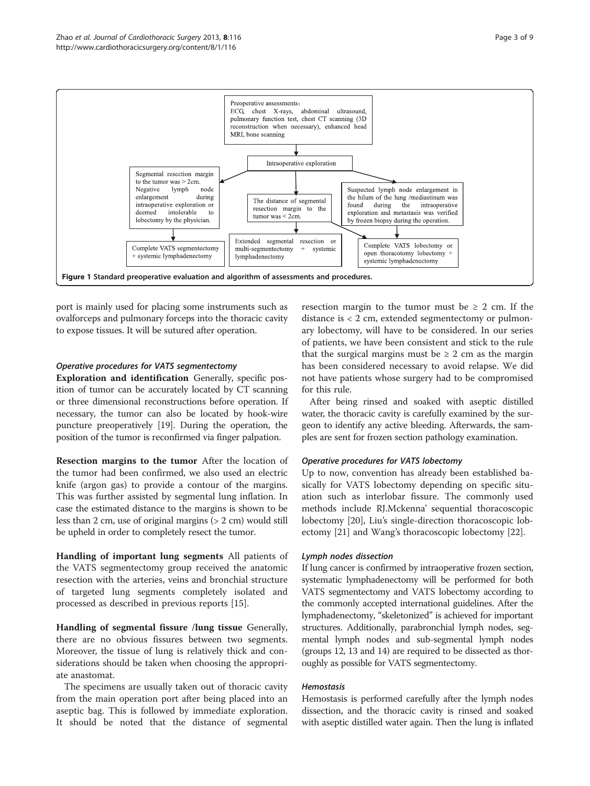<span id="page-2-0"></span>

port is mainly used for placing some instruments such as ovalforceps and pulmonary forceps into the thoracic cavity to expose tissues. It will be sutured after operation.

### Operative procedures for VATS segmentectomy

Exploration and identification Generally, specific position of tumor can be accurately located by CT scanning or three dimensional reconstructions before operation. If necessary, the tumor can also be located by hook-wire puncture preoperatively [\[19\]](#page-8-0). During the operation, the position of the tumor is reconfirmed via finger palpation.

Resection margins to the tumor After the location of the tumor had been confirmed, we also used an electric knife (argon gas) to provide a contour of the margins. This was further assisted by segmental lung inflation. In case the estimated distance to the margins is shown to be less than 2 cm, use of original margins (> 2 cm) would still be upheld in order to completely resect the tumor.

Handling of important lung segments All patients of the VATS segmentectomy group received the anatomic resection with the arteries, veins and bronchial structure of targeted lung segments completely isolated and processed as described in previous reports [\[15](#page-8-0)].

Handling of segmental fissure /lung tissue Generally, there are no obvious fissures between two segments. Moreover, the tissue of lung is relatively thick and considerations should be taken when choosing the appropriate anastomat.

The specimens are usually taken out of thoracic cavity from the main operation port after being placed into an aseptic bag. This is followed by immediate exploration. It should be noted that the distance of segmental

resection margin to the tumor must be  $\geq 2$  cm. If the distance is < 2 cm, extended segmentectomy or pulmonary lobectomy, will have to be considered. In our series of patients, we have been consistent and stick to the rule that the surgical margins must be  $\geq 2$  cm as the margin has been considered necessary to avoid relapse. We did not have patients whose surgery had to be compromised for this rule.

After being rinsed and soaked with aseptic distilled water, the thoracic cavity is carefully examined by the surgeon to identify any active bleeding. Afterwards, the samples are sent for frozen section pathology examination.

# Operative procedures for VATS lobectomy

Up to now, convention has already been established basically for VATS lobectomy depending on specific situation such as interlobar fissure. The commonly used methods include RJ.Mckenna' sequential thoracoscopic lobectomy [[20\]](#page-8-0), Liu's single-direction thoracoscopic lobectomy [[21](#page-8-0)] and Wang's thoracoscopic lobectomy [\[22](#page-8-0)].

#### Lymph nodes dissection

If lung cancer is confirmed by intraoperative frozen section, systematic lymphadenectomy will be performed for both VATS segmentectomy and VATS lobectomy according to the commonly accepted international guidelines. After the lymphadenectomy, "skeletonized" is achieved for important structures. Additionally, parabronchial lymph nodes, segmental lymph nodes and sub-segmental lymph nodes (groups 12, 13 and 14) are required to be dissected as thoroughly as possible for VATS segmentectomy.

# Hemostasis

Hemostasis is performed carefully after the lymph nodes dissection, and the thoracic cavity is rinsed and soaked with aseptic distilled water again. Then the lung is inflated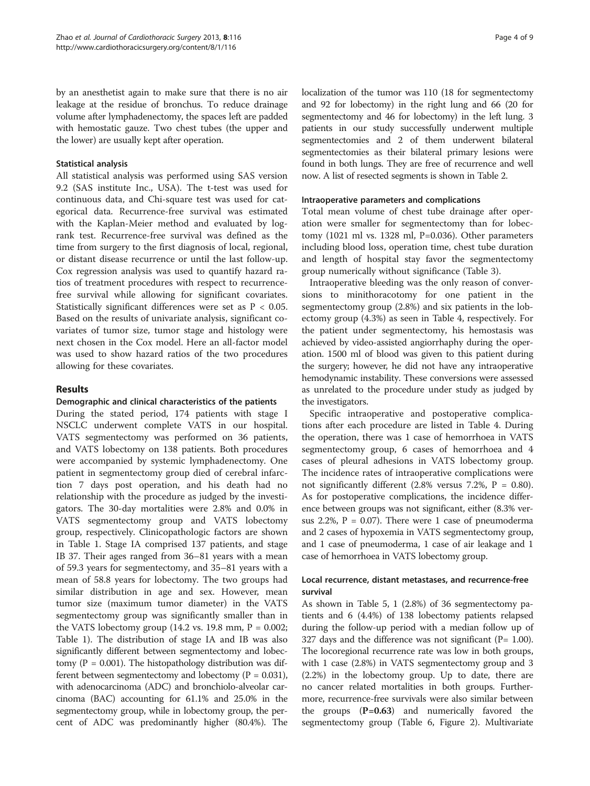by an anesthetist again to make sure that there is no air leakage at the residue of bronchus. To reduce drainage volume after lymphadenectomy, the spaces left are padded with hemostatic gauze. Two chest tubes (the upper and the lower) are usually kept after operation.

# Statistical analysis

All statistical analysis was performed using SAS version 9.2 (SAS institute Inc., USA). The t-test was used for continuous data, and Chi-square test was used for categorical data. Recurrence-free survival was estimated with the Kaplan-Meier method and evaluated by logrank test. Recurrence-free survival was defined as the time from surgery to the first diagnosis of local, regional, or distant disease recurrence or until the last follow-up. Cox regression analysis was used to quantify hazard ratios of treatment procedures with respect to recurrencefree survival while allowing for significant covariates. Statistically significant differences were set as P < 0.05. Based on the results of univariate analysis, significant covariates of tumor size, tumor stage and histology were next chosen in the Cox model. Here an all-factor model was used to show hazard ratios of the two procedures allowing for these covariates.

# Results

#### Demographic and clinical characteristics of the patients

During the stated period, 174 patients with stage I NSCLC underwent complete VATS in our hospital. VATS segmentectomy was performed on 36 patients, and VATS lobectomy on 138 patients. Both procedures were accompanied by systemic lymphadenectomy. One patient in segmentectomy group died of cerebral infarction 7 days post operation, and his death had no relationship with the procedure as judged by the investigators. The 30-day mortalities were 2.8% and 0.0% in VATS segmentectomy group and VATS lobectomy group, respectively. Clinicopathologic factors are shown in Table [1](#page-4-0). Stage IA comprised 137 patients, and stage IB 37. Their ages ranged from 36–81 years with a mean of 59.3 years for segmentectomy, and 35–81 years with a mean of 58.8 years for lobectomy. The two groups had similar distribution in age and sex. However, mean tumor size (maximum tumor diameter) in the VATS segmentectomy group was significantly smaller than in the VATS lobectomy group  $(14.2 \text{ vs. } 19.8 \text{ mm}, P = 0.002;$ Table [1](#page-4-0)). The distribution of stage IA and IB was also significantly different between segmentectomy and lobectomy ( $P = 0.001$ ). The histopathology distribution was different between segmentectomy and lobectomy  $(P = 0.031)$ , with adenocarcinoma (ADC) and bronchiolo-alveolar carcinoma (BAC) accounting for 61.1% and 25.0% in the segmentectomy group, while in lobectomy group, the percent of ADC was predominantly higher (80.4%). The localization of the tumor was 110 (18 for segmentectomy and 92 for lobectomy) in the right lung and 66 (20 for segmentectomy and 46 for lobectomy) in the left lung. 3 patients in our study successfully underwent multiple segmentectomies and 2 of them underwent bilateral segmentectomies as their bilateral primary lesions were found in both lungs. They are free of recurrence and well now. A list of resected segments is shown in Table [2.](#page-4-0)

#### Intraoperative parameters and complications

Total mean volume of chest tube drainage after operation were smaller for segmentectomy than for lobectomy (1021 ml vs. 1328 ml, P=0.036). Other parameters including blood loss, operation time, chest tube duration and length of hospital stay favor the segmentectomy group numerically without significance (Table [3\)](#page-5-0).

Intraoperative bleeding was the only reason of conversions to minithoracotomy for one patient in the segmentectomy group (2.8%) and six patients in the lobectomy group (4.3%) as seen in Table [4,](#page-5-0) respectively. For the patient under segmentectomy, his hemostasis was achieved by video-assisted angiorrhaphy during the operation. 1500 ml of blood was given to this patient during the surgery; however, he did not have any intraoperative hemodynamic instability. These conversions were assessed as unrelated to the procedure under study as judged by the investigators.

Specific intraoperative and postoperative complications after each procedure are listed in Table [4.](#page-5-0) During the operation, there was 1 case of hemorrhoea in VATS segmentectomy group, 6 cases of hemorrhoea and 4 cases of pleural adhesions in VATS lobectomy group. The incidence rates of intraoperative complications were not significantly different  $(2.8\%$  versus 7.2%, P = 0.80). As for postoperative complications, the incidence difference between groups was not significant, either (8.3% versus 2.2%,  $P = 0.07$ . There were 1 case of pneumoderma and 2 cases of hypoxemia in VATS segmentectomy group, and 1 case of pneumoderma, 1 case of air leakage and 1 case of hemorrhoea in VATS lobectomy group.

# Local recurrence, distant metastases, and recurrence-free survival

As shown in Table [5](#page-6-0), 1 (2.8%) of 36 segmentectomy patients and 6 (4.4%) of 138 lobectomy patients relapsed during the follow-up period with a median follow up of 327 days and the difference was not significant ( $P= 1.00$ ). The locoregional recurrence rate was low in both groups, with 1 case (2.8%) in VATS segmentectomy group and 3 (2.2%) in the lobectomy group. Up to date, there are no cancer related mortalities in both groups. Furthermore, recurrence-free survivals were also similar between the groups  $(P=0.63)$  and numerically favored the segmentectomy group (Table [6,](#page-6-0) Figure [2](#page-7-0)). Multivariate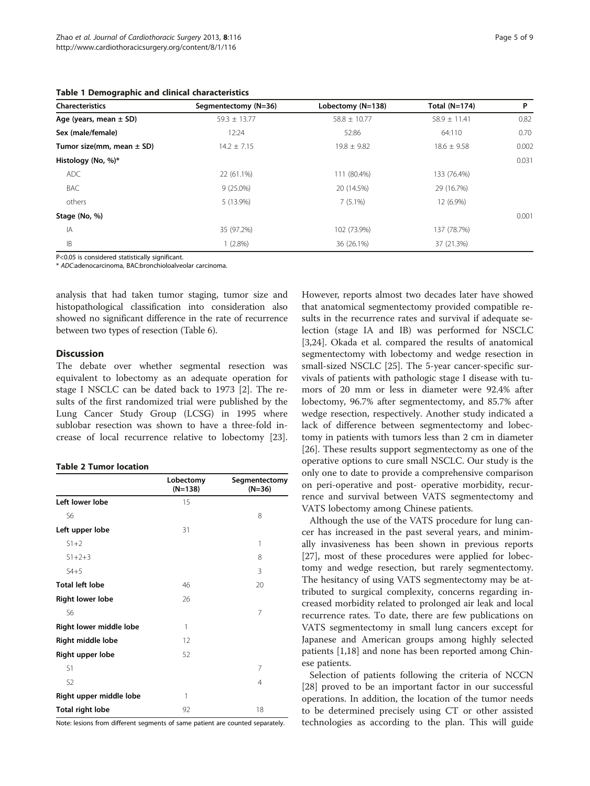<span id="page-4-0"></span>Table 1 Demographic and clinical characteristics

| <b>Charecteristics</b>        | Segmentectomy (N=36) | Lobectomy (N=138) | Total (N=174)    | P     |
|-------------------------------|----------------------|-------------------|------------------|-------|
| Age (years, mean $\pm$ SD)    | $59.3 \pm 13.77$     | $58.8 \pm 10.77$  | $58.9 \pm 11.41$ | 0.82  |
| Sex (male/female)             | 12:24                | 52:86             | 64:110           | 0.70  |
| Tumor size(mm, mean $\pm$ SD) | $14.2 \pm 7.15$      | $19.8 \pm 9.82$   | $18.6 \pm 9.58$  | 0.002 |
| Histology (No, %)*            |                      |                   |                  | 0.031 |
| <b>ADC</b>                    | 22 (61.1%)           | 111 (80.4%)       | 133 (76.4%)      |       |
| <b>BAC</b>                    | $9(25.0\%)$          | 20 (14.5%)        | 29 (16.7%)       |       |
| others                        | 5 (13.9%)            | $7(5.1\%)$        | 12 (6.9%)        |       |
| Stage (No, %)                 |                      |                   |                  | 0.001 |
| IA                            | 35 (97.2%)           | 102 (73.9%)       | 137 (78.7%)      |       |
| <b>IB</b>                     | $1(2.8\%)$           | 36 (26.1%)        | 37 (21.3%)       |       |

P<0.05 is considered statistically significant.

\* ADC:adenocarcinoma, BAC:bronchioloalveolar carcinoma.

analysis that had taken tumor staging, tumor size and histopathological classification into consideration also showed no significant difference in the rate of recurrence between two types of resection (Table [6](#page-6-0)).

### **Discussion**

The debate over whether segmental resection was equivalent to lobectomy as an adequate operation for stage I NSCLC can be dated back to 1973 [\[2](#page-8-0)]. The results of the first randomized trial were published by the Lung Cancer Study Group (LCSG) in 1995 where sublobar resection was shown to have a three-fold increase of local recurrence relative to lobectomy [\[23](#page-8-0)].

#### Table 2 Tumor location

|                         | Lobectomy<br>$(N=138)$ | Segmentectomy<br>$(N=36)$ |
|-------------------------|------------------------|---------------------------|
| Left lower lobe         | 15                     |                           |
| S6                      |                        | 8                         |
| Left upper lobe         | 31                     |                           |
| $51 + 2$                |                        | 1                         |
| $51 + 2 + 3$            |                        | 8                         |
| $S4+5$                  |                        | 3                         |
| <b>Total left lobe</b>  | 46                     | 20                        |
| <b>Right lower lobe</b> | 26                     |                           |
| S6                      |                        | 7                         |
| Right lower middle lobe | 1                      |                           |
| Right middle lobe       | 12                     |                           |
| Right upper lobe        | 52                     |                           |
| S1                      |                        | 7                         |
| S <sub>2</sub>          |                        | 4                         |
| Right upper middle lobe | 1                      |                           |
| Total right lobe        | 92                     | 18                        |

Note: lesions from different segments of same patient are counted separately.

However, reports almost two decades later have showed that anatomical segmentectomy provided compatible results in the recurrence rates and survival if adequate selection (stage IA and IB) was performed for NSCLC [[3,24\]](#page-8-0). Okada et al. compared the results of anatomical segmentectomy with lobectomy and wedge resection in small-sized NSCLC [[25](#page-8-0)]. The 5-year cancer-specific survivals of patients with pathologic stage I disease with tumors of 20 mm or less in diameter were 92.4% after lobectomy, 96.7% after segmentectomy, and 85.7% after wedge resection, respectively. Another study indicated a lack of difference between segmentectomy and lobectomy in patients with tumors less than 2 cm in diameter [[26\]](#page-8-0). These results support segmentectomy as one of the operative options to cure small NSCLC. Our study is the only one to date to provide a comprehensive comparison on peri-operative and post- operative morbidity, recurrence and survival between VATS segmentectomy and VATS lobectomy among Chinese patients.

Although the use of the VATS procedure for lung cancer has increased in the past several years, and minimally invasiveness has been shown in previous reports [[27\]](#page-8-0), most of these procedures were applied for lobectomy and wedge resection, but rarely segmentectomy. The hesitancy of using VATS segmentectomy may be attributed to surgical complexity, concerns regarding increased morbidity related to prolonged air leak and local recurrence rates. To date, there are few publications on VATS segmentectomy in small lung cancers except for Japanese and American groups among highly selected patients [\[1,18\]](#page-8-0) and none has been reported among Chinese patients.

Selection of patients following the criteria of NCCN [[28\]](#page-8-0) proved to be an important factor in our successful operations. In addition, the location of the tumor needs to be determined precisely using CT or other assisted technologies as according to the plan. This will guide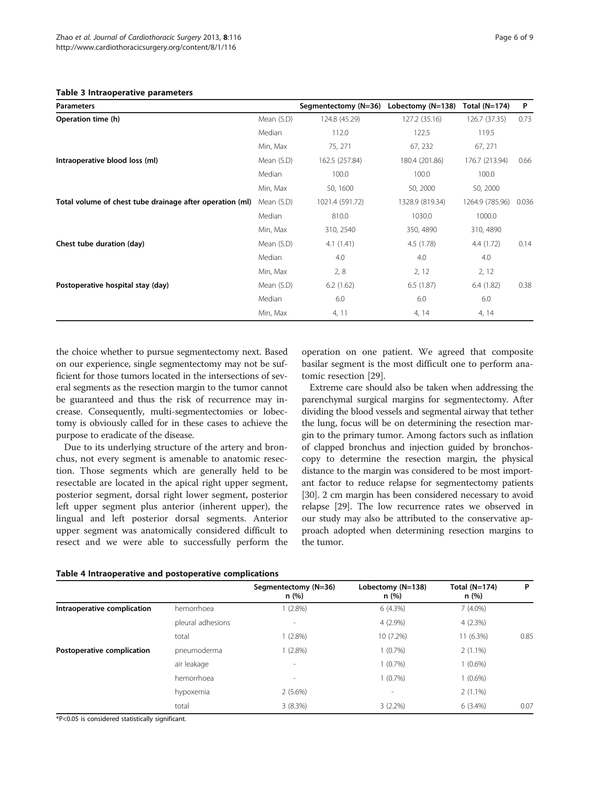#### <span id="page-5-0"></span>Table 3 Intraoperative parameters

|                                                          | Median     | 112.0           | 122.5           | 119.5           |       |
|----------------------------------------------------------|------------|-----------------|-----------------|-----------------|-------|
|                                                          | Min, Max   | 75, 271         | 67, 232         | 67, 271         |       |
| Intraoperative blood loss (ml)                           | Mean (S.D) | 162.5 (257.84)  | 180.4 (201.86)  | 176.7 (213.94)  | 0.66  |
|                                                          | Median     | 100.0           | 100.0           | 100.0           |       |
|                                                          | Min, Max   | 50, 1600        | 50, 2000        | 50, 2000        |       |
| Total volume of chest tube drainage after operation (ml) | Mean (S.D) | 1021.4 (591.72) | 1328.9 (819.34) | 1264.9 (785.96) | 0.036 |
|                                                          | Median     | 810.0           | 1030.0          | 1000.0          |       |
|                                                          | Min, Max   | 310, 2540       | 350, 4890       | 310, 4890       |       |
| Chest tube duration (day)                                | Mean (S.D) | 4.1(1.41)       | 4.5(1.78)       | 4.4(1.72)       | 0.14  |
|                                                          | Median     | 4.0             | 4.0             | 4.0             |       |
|                                                          | Min, Max   | 2, 8            | 2, 12           | 2, 12           |       |
| Postoperative hospital stay (day)                        | Mean (S.D) | 6.2(1.62)       | 6.5(1.87)       | 6.4(1.82)       | 0.38  |
|                                                          |            |                 |                 |                 |       |

Parameters **Segmentectomy (N=36)** Lobectomy (N=138) Total (N=174) P **Operation time (h) Mean (S.D)** 124.8 (45.29) 127.2 (35.16) 126.7 (37.35) 0.73

the choice whether to pursue segmentectomy next. Based on our experience, single segmentectomy may not be sufficient for those tumors located in the intersections of several segments as the resection margin to the tumor cannot be guaranteed and thus the risk of recurrence may increase. Consequently, multi-segmentectomies or lobectomy is obviously called for in these cases to achieve the purpose to eradicate of the disease.

Due to its underlying structure of the artery and bronchus, not every segment is amenable to anatomic resection. Those segments which are generally held to be resectable are located in the apical right upper segment, posterior segment, dorsal right lower segment, posterior left upper segment plus anterior (inherent upper), the lingual and left posterior dorsal segments. Anterior upper segment was anatomically considered difficult to resect and we were able to successfully perform the operation on one patient. We agreed that composite basilar segment is the most difficult one to perform anatomic resection [\[29](#page-8-0)].

Median 6.0 6.0 6.0 6.0 6.0 Min, Max 4, 11 4, 14 4, 14

> Extreme care should also be taken when addressing the parenchymal surgical margins for segmentectomy. After dividing the blood vessels and segmental airway that tether the lung, focus will be on determining the resection margin to the primary tumor. Among factors such as inflation of clapped bronchus and injection guided by bronchoscopy to determine the resection margin, the physical distance to the margin was considered to be most important factor to reduce relapse for segmentectomy patients [[30](#page-8-0)]. 2 cm margin has been considered necessary to avoid relapse [[29](#page-8-0)]. The low recurrence rates we observed in our study may also be attributed to the conservative approach adopted when determining resection margins to the tumor.

|  |  |  | Table 4 Intraoperative and postoperative complications |
|--|--|--|--------------------------------------------------------|
|--|--|--|--------------------------------------------------------|

|                             |                   | Segmentectomy (N=36)<br>n (%) | Lobectomy (N=138)<br>n(%) | Total (N=174)<br>n(%) | P    |
|-----------------------------|-------------------|-------------------------------|---------------------------|-----------------------|------|
| Intraoperative complication | hemorrhoea        | $(2.8\%)$                     | 6(4.3%)                   | $7(4.0\%)$            |      |
|                             | pleural adhesions | $\sim$                        | $4(2.9\%)$                | $4(2.3\%)$            |      |
|                             | total             | $(2.8\%)$                     | 10 (7.2%)                 | $11(6.3\%)$           | 0.85 |
| Postoperative complication  | pneumoderma       | $(2.8\%)$                     | 1(0.7%)                   | $2(1.1\%)$            |      |
|                             | air leakage       | $\sim$                        | 1(0.7%)                   | $1(0.6\%)$            |      |
|                             | hemorrhoea        | $\sim$                        | 1(0.7%)                   | $(0.6\%)$             |      |
|                             | hypoxemia         | $2(5.6\%)$                    | $\overline{\phantom{a}}$  | $2(1.1\%)$            |      |
|                             | total             | 3(8.3%)                       | $3(2.2\%)$                | 6(3.4%)               | 0.07 |

\*P<0.05 is considered statistically significant.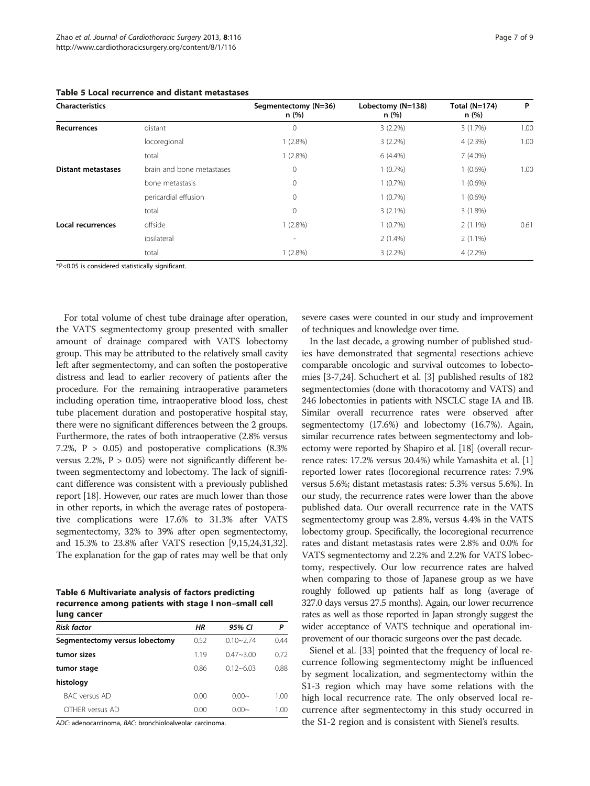| <b>Characteristics</b>    |                           | Segmentectomy (N=36)<br>n (%) | Lobectomy (N=138)<br>n(%) | Total (N=174)<br>n (%) | P    |
|---------------------------|---------------------------|-------------------------------|---------------------------|------------------------|------|
| Recurrences               | distant                   | $\Omega$                      | 3(2.2%)                   | 3(1.7%)                | 1.00 |
|                           | locoregional              | 1(2.8%)                       | 3(2.2%)                   | 4(2.3%)                | 1.00 |
|                           | total                     | $(2.8\%)$                     | $6(4.4\%)$                | $7(4.0\%)$             |      |
| <b>Distant metastases</b> | brain and bone metastases | 0                             | $1(0.7\%)$                | $1(0.6\%)$             | 1.00 |
|                           | bone metastasis           | 0                             | 1(0.7%)                   | $1(0.6\%)$             |      |
|                           | pericardial effusion      | $\Omega$                      | $1(0.7\%)$                | $1(0.6\%)$             |      |
|                           | total                     | $\Omega$                      | $3(2.1\%)$                | $3(1.8\%)$             |      |
| Local recurrences         | offside                   | $1(2.8\%)$                    | $1(0.7\%)$                | $2(1.1\%)$             | 0.61 |
|                           | ipsilateral               | $\sim$                        | $2(1.4\%)$                | $2(1.1\%)$             |      |
|                           | total                     | $1(2.8\%)$                    | 3(2.2%)                   | $4(2.2\%)$             |      |

#### <span id="page-6-0"></span>Table 5 Local recurrence and distant metastases

\*P<0.05 is considered statistically significant.

For total volume of chest tube drainage after operation, the VATS segmentectomy group presented with smaller amount of drainage compared with VATS lobectomy group. This may be attributed to the relatively small cavity left after segmentectomy, and can soften the postoperative distress and lead to earlier recovery of patients after the procedure. For the remaining intraoperative parameters including operation time, intraoperative blood loss, chest tube placement duration and postoperative hospital stay, there were no significant differences between the 2 groups. Furthermore, the rates of both intraoperative (2.8% versus 7.2%,  $P > 0.05$ ) and postoperative complications (8.3%) versus 2.2%,  $P > 0.05$ ) were not significantly different between segmentectomy and lobectomy. The lack of significant difference was consistent with a previously published report [\[18\]](#page-8-0). However, our rates are much lower than those in other reports, in which the average rates of postoperative complications were 17.6% to 31.3% after VATS segmentectomy, 32% to 39% after open segmentectomy, and 15.3% to 23.8% after VATS resection [[9,15,24,31,32](#page-8-0)]. The explanation for the gap of rates may well be that only

Table 6 Multivariate analysis of factors predicting recurrence among patients with stage I non–small cell lung cancer

| <b>Risk factor</b>             | ΗR   | 95% CI        | Ρ    |
|--------------------------------|------|---------------|------|
| Segmentectomy versus lobectomy | 0.52 | $0.10 - 2.74$ | 0.44 |
| tumor sizes                    | 1.19 | $0.47 - 3.00$ | 0.72 |
| tumor stage                    | 0.86 | $012 - 603$   | 0.88 |
| histology                      |      |               |      |
| BAC versus AD                  | 0.00 | $0.00 -$      | 1.00 |
| OTHER versus AD                | 0.00 | $0.00 -$      | 1 00 |
|                                |      |               |      |

ADC: adenocarcinoma, BAC: bronchioloalveolar carcinoma.

severe cases were counted in our study and improvement of techniques and knowledge over time.

In the last decade, a growing number of published studies have demonstrated that segmental resections achieve comparable oncologic and survival outcomes to lobectomies [\[3](#page-8-0)-[7,24](#page-8-0)]. Schuchert et al. [\[3](#page-8-0)] published results of 182 segmentectomies (done with thoracotomy and VATS) and 246 lobectomies in patients with NSCLC stage IA and IB. Similar overall recurrence rates were observed after segmentectomy (17.6%) and lobectomy (16.7%). Again, similar recurrence rates between segmentectomy and lobectomy were reported by Shapiro et al. [\[18\]](#page-8-0) (overall recurrence rates: 17.2% versus 20.4%) while Yamashita et al. [[1](#page-8-0)] reported lower rates (locoregional recurrence rates: 7.9% versus 5.6%; distant metastasis rates: 5.3% versus 5.6%). In our study, the recurrence rates were lower than the above published data. Our overall recurrence rate in the VATS segmentectomy group was 2.8%, versus 4.4% in the VATS lobectomy group. Specifically, the locoregional recurrence rates and distant metastasis rates were 2.8% and 0.0% for VATS segmentectomy and 2.2% and 2.2% for VATS lobectomy, respectively. Our low recurrence rates are halved when comparing to those of Japanese group as we have roughly followed up patients half as long (average of 327.0 days versus 27.5 months). Again, our lower recurrence rates as well as those reported in Japan strongly suggest the wider acceptance of VATS technique and operational improvement of our thoracic surgeons over the past decade.

Sienel et al. [[33\]](#page-8-0) pointed that the frequency of local recurrence following segmentectomy might be influenced by segment localization, and segmentectomy within the S1-3 region which may have some relations with the high local recurrence rate. The only observed local recurrence after segmentectomy in this study occurred in the S1-2 region and is consistent with Sienel's results.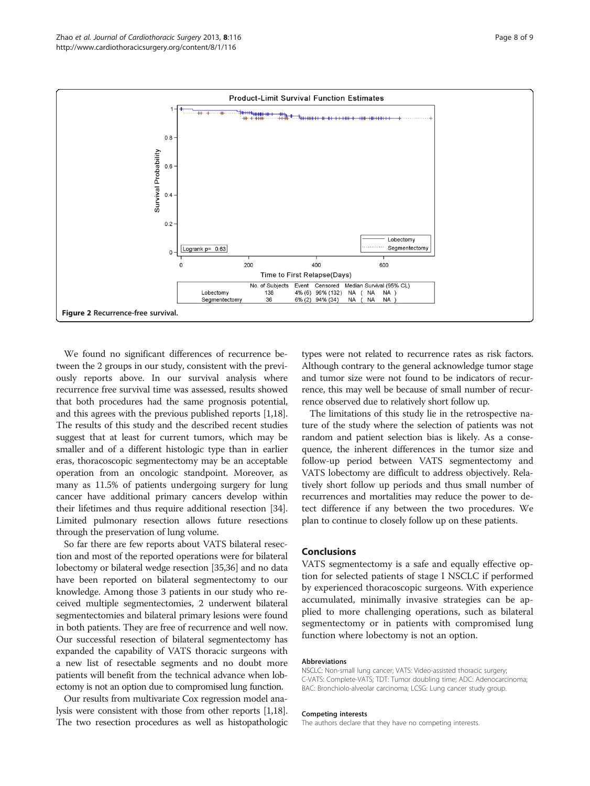<span id="page-7-0"></span>

We found no significant differences of recurrence between the 2 groups in our study, consistent with the previously reports above. In our survival analysis where recurrence free survival time was assessed, results showed that both procedures had the same prognosis potential, and this agrees with the previous published reports [[1,18](#page-8-0)]. The results of this study and the described recent studies suggest that at least for current tumors, which may be smaller and of a different histologic type than in earlier eras, thoracoscopic segmentectomy may be an acceptable operation from an oncologic standpoint. Moreover, as many as 11.5% of patients undergoing surgery for lung cancer have additional primary cancers develop within their lifetimes and thus require additional resection [[34](#page-8-0)]. Limited pulmonary resection allows future resections through the preservation of lung volume.

So far there are few reports about VATS bilateral resection and most of the reported operations were for bilateral lobectomy or bilateral wedge resection [\[35,36\]](#page-8-0) and no data have been reported on bilateral segmentectomy to our knowledge. Among those 3 patients in our study who received multiple segmentectomies, 2 underwent bilateral segmentectomies and bilateral primary lesions were found in both patients. They are free of recurrence and well now. Our successful resection of bilateral segmentectomy has expanded the capability of VATS thoracic surgeons with a new list of resectable segments and no doubt more patients will benefit from the technical advance when lobectomy is not an option due to compromised lung function.

Our results from multivariate Cox regression model analysis were consistent with those from other reports [\[1,18](#page-8-0)]. The two resection procedures as well as histopathologic types were not related to recurrence rates as risk factors. Although contrary to the general acknowledge tumor stage and tumor size were not found to be indicators of recurrence, this may well be because of small number of recurrence observed due to relatively short follow up.

The limitations of this study lie in the retrospective nature of the study where the selection of patients was not random and patient selection bias is likely. As a consequence, the inherent differences in the tumor size and follow-up period between VATS segmentectomy and VATS lobectomy are difficult to address objectively. Relatively short follow up periods and thus small number of recurrences and mortalities may reduce the power to detect difference if any between the two procedures. We plan to continue to closely follow up on these patients.

#### Conclusions

VATS segmentectomy is a safe and equally effective option for selected patients of stage I NSCLC if performed by experienced thoracoscopic surgeons. With experience accumulated, minimally invasive strategies can be applied to more challenging operations, such as bilateral segmentectomy or in patients with compromised lung function where lobectomy is not an option.

#### Abbreviations

NSCLC: Non-small lung cancer; VATS: Video-assisted thoracic surgery; C-VATS: Complete-VATS; TDT: Tumor doubling time; ADC: Adenocarcinoma; BAC: Bronchiolo-alveolar carcinoma; LCSG: Lung cancer study group.

#### Competing interests

The authors declare that they have no competing interests.